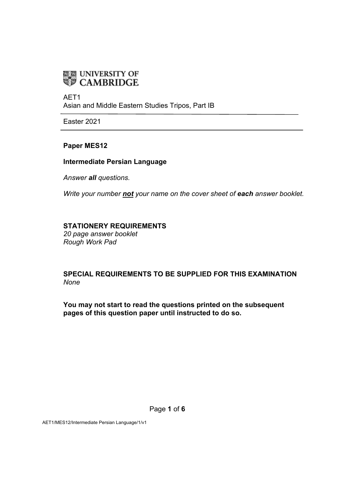

AET1 Asian and Middle Eastern Studies Tripos, Part IB

Easter 2021

### **Paper MES12**

#### **Intermediate Persian Language**

*Answer all questions.*

*Write your number not your name on the cover sheet of each answer booklet.*

#### **STATIONERY REQUIREMENTS**

*20 page answer booklet Rough Work Pad* 

### **SPECIAL REQUIREMENTS TO BE SUPPLIED FOR THIS EXAMINATION** *None*

**You may not start to read the questions printed on the subsequent pages of this question paper until instructed to do so.**

AET1/MES12/Intermediate Persian Language/1/v1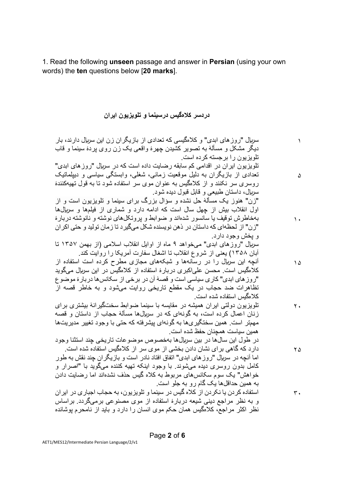1. Read the following **unseen** passage and answer in **Persian** (using your own words) the **ten** questions below [**20 marks**].

# <mark>دردسر کلاهگیس درسینما و تلویزیون ایران</mark>

| سربال "روز های ابدی" و کلامگیسی که تعدادی از بازیگران زن این سربال دارند، بار   |          |
|---------------------------------------------------------------------------------|----------|
| دیگر مشکل و مسألهٔ به تصویر کشیدن چهرهٔ واقعی یک زن روی پردهٔ سینما و قاب       |          |
| تلویزیون را برجسته کرده است.                                                    |          |
| تلویزیون ایران در اقدامی کم سابقه رضایت داده است که در سریال "روز های ابدی"     |          |
| تعدادی از بازیگران به دلیل موقعیت زمانی، شغلی، وابستگی سیاسی و دیپلماتیک        | ۵        |
| روسری سر نکنند و از کلامگیس به عنوان موی سر استفاده شود تا به قول تهیهکنندهٔ    |          |
| سربال، داستان طبیعی و قابل قبول دیده شود.                                       |          |
| "زن" هنوز یک مسألهٔ حل نشده و سؤال بزرگ برای سینما و تلویزیون است و از          |          |
| اول انقلاب بیش از چهل سال است که ادامه دارد و شماری از فیلمها و سربالها         |          |
| بهخاطرش توقیف یا سانسور شدهاند و ضوابط و پروتکلهای نوشته و نانوشته دربارهٔ      | ۱.       |
| "زن" از لحظهای که داستان در ذهن نویسنده شکل میگیرد تا زمان تولید و حتی اکر ان   |          |
| و يخش وجود دارد.                                                                |          |
| سریال "روز های ابدی" میخواهد ۹ ماه از اوایل انقلاب اسلامی (از بهمن ۱۳۵۷ تا      |          |
| آبان ۱۳۵۸) یعنی از شروع انقلاب تا اشغال سفارت آمریکا را روایت کند.              |          |
| آنچه این سریال را در رسانهها و شبکههای مجازی مطرح کرده است استفاده از           | $\Delta$ |
| کلامگیس است. محسن علی کبری دربارهٔ استفاده از کلامگیس در این سربال میگوید       |          |
| "ر وز های ابدی" کار ی سیاسی است و قصهٔ آن در بر خی از سکانسها در بار هٔ موضو ع  |          |
| تظاهرات ضد حجاب در یک مقطع تاریخی روایت میشود و به خاطر قصه از                  |          |
| كلامگيس استفاده شده است.                                                        |          |
| تلویزیون دولتی ایران همیشه در مقایسه با سینما ضوابط سختگیر انهٔ بیشتر ی بر ای   | ۲.       |
| زنان اعمال کرده است، به گونهای که در سربالها مسألهٔ حجاب از داستان و قصه        |          |
| مهمتر است. همین سختگیر یها به گونهای پیشرفته که حتی با وجود تغییر مدیریتها      |          |
| همين سياست همچنان حفظ شده است.                                                  |          |
| در طول این سالها در بین سربالها بهخصوص موضوعات تاریخی چند استثنا وجود           |          |
| دارد که گاهی بر ای نشان دادن بخشی از موی سر از کلامگیس استفاده شده است.         | ۲۵       |
| اما آنچه در سربال "روز های ابدی" اتفاق افتاد نادر است و بازیگران چند نقش به طور |          |
| کامل بدون روسری دیده میشوند. با وجود اینکه تهیه کننده میگوید با "اصرار و        |          |
| خواهش" یک سوم سکانسهای مربوط به کلاه گیس حذف نشدهاند اما رضایت دادن             |          |
| به همین حداقلها یک گام رو به جلو است.                                           |          |
| استفاده کردن یا نکردن از کلاه گیس در سینما و تلویزیون، به حجاب اجباری در ایران  | ٣.       |
| و به نظر مراجع دینی شیعه دربارهٔ استفاده از موی مصنوعی برمیگردد. براساس         |          |
| نظر اکثر مراجع، کلاهگیس همان حکم موی انسان را دارد و باید از نامحرم پوشانده     |          |
|                                                                                 |          |

Page **2** of **6**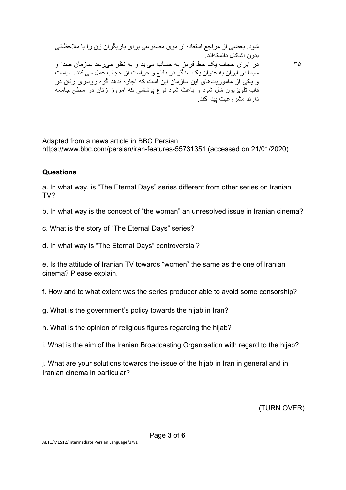٣۵

Adapted from a news article in BBC Persian https://www.bbc.com/persian/iran-features-55731351 (accessed on 21/01/2020)

## **Questions**

a. In what way, is "The Eternal Days" series different from other series on Iranian TV?

b. In what way is the concept of "the woman" an unresolved issue in Iranian cinema?

c. What is the story of "The Eternal Days" series?

d. In what way is "The Eternal Days" controversial?

e. Is the attitude of Iranian TV towards "women" the same as the one of Iranian cinema? Please explain.

f. How and to what extent was the series producer able to avoid some censorship?

g. What is the government's policy towards the hijab in Iran?

h. What is the opinion of religious figures regarding the hijab?

i. What is the aim of the Iranian Broadcasting Organisation with regard to the hijab?

j. What are your solutions towards the issue of the hijab in Iran in general and in Iranian cinema in particular?

(TURN OVER)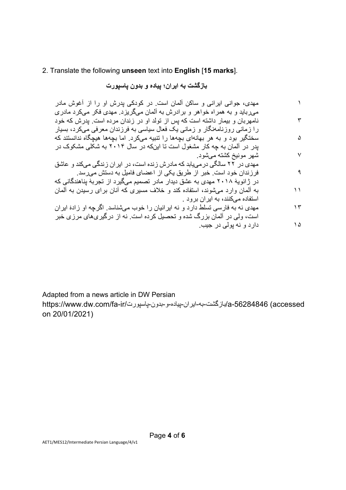### 2. Translate the following **unseen** text into **English** [**15 marks**].

بازگشت به ایران؛ بیاده و بدون باسپورت

١ ٣ ۵ ٧ ٩ ١١ ١٣ ١۵ مهدی، جوانی ایرانی و ساکن آلمان است. در کودکی پدرش او را از آغوش مادر میرباید و به همراه خواهر و برادرش به آلمان میگریزد. مهدی فکر میکرد مادری نامهربان و بیمار داشته است که پس از تولد او در زندان مرده است. پدرش که خود را زمانی روزنامهنگار و زمانی یک فعال سیاسی به فرزندان معرفی میکرد، بسیار سختگیر بود و به هر بهانهای بچهها را تنبیه میکرد. اما بچهها هیچگاه ندانستند که یدر در آلمان به چه کار مشغول است تا اینکه در سال ۲۰۱۴ به شکلی مشکوک در شهر مونیخ کشته می شود. ۔ دو سی یوسی کے سی یہ یہ ہے۔<br>مهدی در ۲۲ سالگے در مے یابد که مادر ش ز نده است، در ابر ان ز ندگے مے کند و عاشق فرزندان خود است. خبر از طریق یکی از اعضای فامیل به دستش میرسد. در ژانویهٔ ۲۰۱۸ مهدی به عشق دیدار مادر تصمیم میگیرد از تجربهٔ پناهندگانی که به آلمان وارد میشوند، استفاده کند و خلاف مسیر ی که آنان برای رسیدن به آلمان استفاده میکنند، به ایران برود . مهدی نه به فارسی تسلط دارد و نه اپرانیان را خوب میشناسد. اگرچه او ز ادهٔ ایر ان است، و لمی در آلمان بز رگ شده و تحصیل کر ده است. نه از در گیر ی&ای مر ز ی خبر

بیج رد یلوپ ھن و دراد .

Adapted from a news article in DW Persian

a-56284846 (accessed) وباز گشت-به-ایر ان-بیاده-و -بدون-پاسپور ت/https://www.dw.com/fa-ir on 20/01/2021)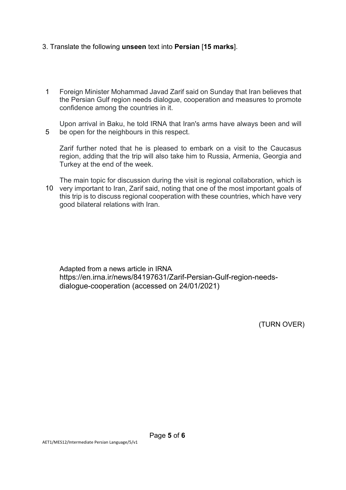### 3. Translate the following **unseen** text into **Persian** [**15 marks**].

- 1 Foreign Minister Mohammad Javad Zarif said on Sunday that Iran believes that the Persian Gulf region needs dialogue, cooperation and measures to promote confidence among the countries in it.
- 5 Upon arrival in Baku, he told IRNA that Iran's arms have always been and will be open for the neighbours in this respect.

Zarif further noted that he is pleased to embark on a visit to the Caucasus region, adding that the trip will also take him to Russia, Armenia, Georgia and Turkey at the end of the week.

10 very important to Iran, Zarif said, noting that one of the most important goals of The main topic for discussion during the visit is regional collaboration, which is this trip is to discuss regional cooperation with these countries, which have very good bilateral relations with Iran.

Adapted from a news article in IRNA https://en.irna.ir/news/84197631/Zarif-Persian-Gulf-region-needsdialogue-cooperation (accessed on 24/01/2021)

(TURN OVER)